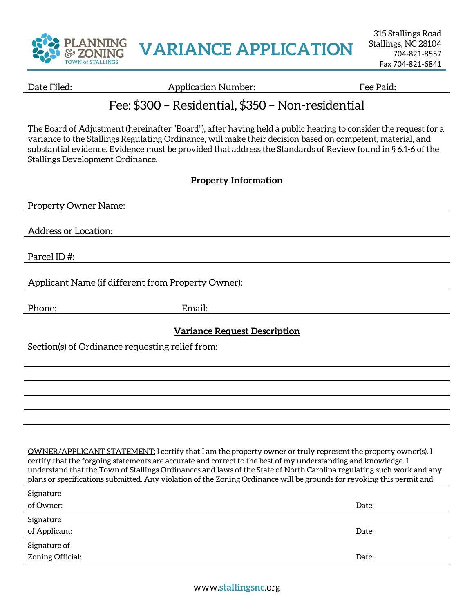

315 Stallings Road Stallings, NC 28104 704-821-8557 Fax 704-821-6841

Date Filed: The Paid: Application Number: The Paid: Fee Paid:

## Fee: \$300 – Residential, \$350 – Non-residential

The Board of Adjustment (hereinafter "Board"), after having held a public hearing to consider the request for a variance to the Stallings Regulating Ordinance, will make their decision based on competent, material, and substantial evidence. Evidence must be provided that address the Standards of Review found in § 6.1-6 of the Stallings Development Ordinance.

## **Property Information**

| <b>Property Owner Name:</b>                                                                                                                                                                                                                                                                                                                                                                                                                                                       |        |
|-----------------------------------------------------------------------------------------------------------------------------------------------------------------------------------------------------------------------------------------------------------------------------------------------------------------------------------------------------------------------------------------------------------------------------------------------------------------------------------|--------|
| <b>Address or Location:</b>                                                                                                                                                                                                                                                                                                                                                                                                                                                       |        |
| Parcel ID#:                                                                                                                                                                                                                                                                                                                                                                                                                                                                       |        |
| Applicant Name (if different from Property Owner):                                                                                                                                                                                                                                                                                                                                                                                                                                |        |
| Phone:                                                                                                                                                                                                                                                                                                                                                                                                                                                                            | Email: |
| <b>Variance Request Description</b>                                                                                                                                                                                                                                                                                                                                                                                                                                               |        |
| Section(s) of Ordinance requesting relief from:                                                                                                                                                                                                                                                                                                                                                                                                                                   |        |
|                                                                                                                                                                                                                                                                                                                                                                                                                                                                                   |        |
|                                                                                                                                                                                                                                                                                                                                                                                                                                                                                   |        |
|                                                                                                                                                                                                                                                                                                                                                                                                                                                                                   |        |
|                                                                                                                                                                                                                                                                                                                                                                                                                                                                                   |        |
| OWNER/APPLICANT STATEMENT: I certify that I am the property owner or truly represent the property owner(s). I<br>certify that the forgoing statements are accurate and correct to the best of my understanding and knowledge. I<br>understand that the Town of Stallings Ordinances and laws of the State of North Carolina regulating such work and any<br>plans or specifications submitted. Any violation of the Zoning Ordinance will be grounds for revoking this permit and |        |
| Signature                                                                                                                                                                                                                                                                                                                                                                                                                                                                         |        |
| of Owner:                                                                                                                                                                                                                                                                                                                                                                                                                                                                         | Date:  |
| Signature<br>of Applicant:                                                                                                                                                                                                                                                                                                                                                                                                                                                        | Date:  |
| Signature of                                                                                                                                                                                                                                                                                                                                                                                                                                                                      |        |
| Zoning Official:                                                                                                                                                                                                                                                                                                                                                                                                                                                                  | Date:  |